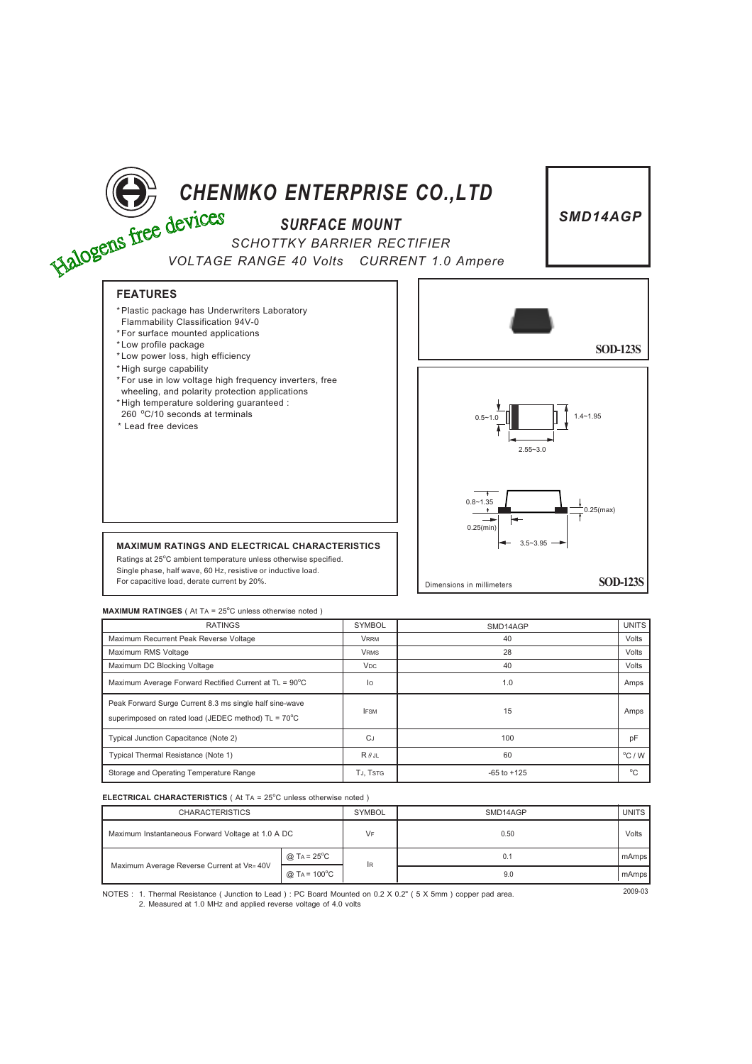

| RAIINGS                                                                                                        | <b>SYMBUL</b>         | SMD14AGP        | UNIIS            |
|----------------------------------------------------------------------------------------------------------------|-----------------------|-----------------|------------------|
| Maximum Recurrent Peak Reverse Voltage                                                                         | <b>VRRM</b>           | 40              | Volts            |
| Maximum RMS Voltage                                                                                            | <b>VRMS</b>           | 28              | Volts            |
| Maximum DC Blocking Voltage                                                                                    | <b>V<sub>DC</sub></b> | 40              | Volts            |
| Maximum Average Forward Rectified Current at $TL = 90^{\circ}C$                                                | lo                    | 1.0             | Amps             |
| Peak Forward Surge Current 8.3 ms single half sine-wave<br>superimposed on rated load (JEDEC method) TL = 70°C | <b>IFSM</b>           | 15              | Amps             |
| Typical Junction Capacitance (Note 2)                                                                          | <b>CJ</b>             | 100             | pF               |
| Typical Thermal Resistance (Note 1)                                                                            | $R \theta$ JL         | 60              | $^{\circ}$ C / W |
| Storage and Operating Temperature Range                                                                        | TJ. TSTG              | $-65$ to $+125$ | $^{\circ}$ C     |

## **ELECTRICAL CHARACTERISTICS** (At TA = 25°C unless otherwise noted)

|  | <b>CHARACTERISTICS</b>                                                                                                      |                           | <b>SYMBOL</b> | SMD14AGP | <b>UNITS</b> |
|--|-----------------------------------------------------------------------------------------------------------------------------|---------------------------|---------------|----------|--------------|
|  | Maximum Instantaneous Forward Voltage at 1.0 A DC                                                                           |                           | VF            | 0.50     | Volts        |
|  | Maximum Average Reverse Current at VR= 40V                                                                                  | @ TA = $25^{\circ}$ C     | <b>IR</b>     | 0.1      | mAmps I      |
|  |                                                                                                                             | $@$ TA = 100 $^{\circ}$ C |               | 9.0      | mAmps I      |
|  | MOTES $\cdot$ 1. Thermal Recistance ( lunction to Lead ) $\cdot$ PC Roard Mounted on 0.2 X 0.2" ( 5 X 5mm ) conner nad area |                           | 2009-03       |          |              |

NOTES : 1. Thermal Resistance ( Junction to Lead ) : PC Board Mounted on 0.2 X 0.2" ( 5 X 5mm ) copper pad area. 2. Measured at 1.0 MHz and applied reverse voltage of 4.0 volts